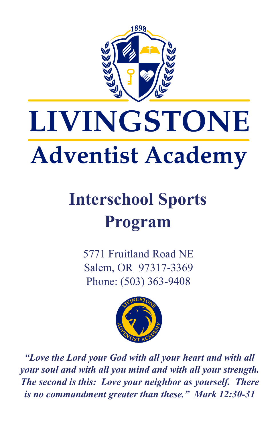

# **LIVINGSTONE Adventist Academy**

## **Interschool Sports Program**

5771 Fruitland Road NE Salem, OR 97317-3369 Phone: (503) 363-9408



*"Love the Lord your God with all your heart and with all your soul and with all you mind and with all your strength. The second is this: Love your neighbor as yourself. There is no commandment greater than these." Mark 12:30-31*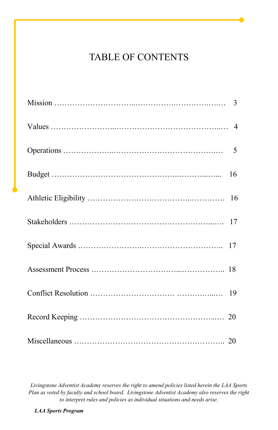#### TABLE OF CONTENTS

*Livingstone Adventist Academy reserves the right to amend policies listed herein the LAA Sports Plan as voted by faculty and school board. Livingstone Adventist Academy also reserves the right to interpret rules and policies as individual situations and needs arise.*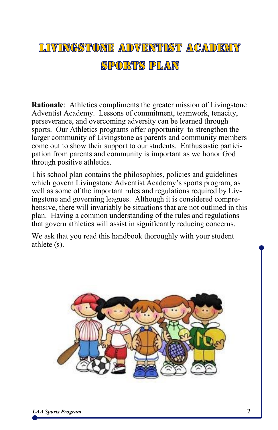### LIVINGSTONE ADVENTIST ACADEMY SPORTS PLAN

**Rationale:** Athletics compliments the greater mission of Livingstone Adventist Academy. Lessons of commitment, teamwork, tenacity, perseverance, and overcoming adversity can be learned through sports. Our Athletics programs offer opportunity to strengthen the larger community of Livingstone as parents and community members come out to show their support to our students. Enthusiastic participation from parents and community is important as we honor God through positive athletics.

This school plan contains the philosophies, policies and guidelines which govern Livingstone Adventist Academy's sports program, as well as some of the important rules and regulations required by Livingstone and governing leagues. Although it is considered comprehensive, there will invariably be situations that are not outlined in this plan. Having a common understanding of the rules and regulations that govern athletics will assist in significantly reducing concerns.

We ask that you read this handbook thoroughly with your student athlete (s).

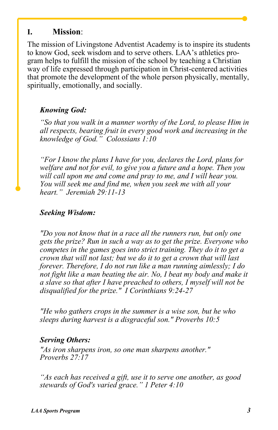#### **I. Mission**:

The mission of Livingstone Adventist Academy is to inspire its students to know God, seek wisdom and to serve others. LAA's athletics program helps to fulfill the mission of the school by teaching a Christian way of life expressed through participation in Christ-centered activities that promote the development of the whole person physically, mentally, spiritually, emotionally, and socially.

#### *Knowing God:*

*³So that you walk in a manner worthy of the Lord, to please Him in all respects, bearing fruit in every good work and increasing in the knowledge of God.´Colossians 1:10*

*³For I know the plans I have for you, declares the Lord, plans for welfare and not for evil, to give you a future and a hope. Then you will call upon me and come and pray to me, and I will hear you. You will seek me and find me, when you seek me with all your heart.´Jeremiah 29:11-13*

#### *Seeking Wisdom:*

*"Do you not know that in a race all the runners run, but only one gets the prize? Run in such a way as to get the prize. Everyone who competes in the games goes into strict training. They do it to get a crown that will not last; but we do it to get a crown that will last forever. Therefore, I do not run like a man running aimlessly; I do not fight like a man beating the air. No, I beat my body and make it a slave so that after I have preached to others, I myself will not be disqualified for the prize." I Corinthians 9:24-27* 

*"He who gathers crops in the summer is a wise son, but he who sleeps during harvest is a disgraceful son." Proverbs 10:5* 

#### *Serving Others:*

*"As iron sharpens iron, so one man sharpens another." Proverbs 27:17* 

*³As each has received a gift, use it to serve one another, as good stewards of God's varied grace.´Peter 4:10*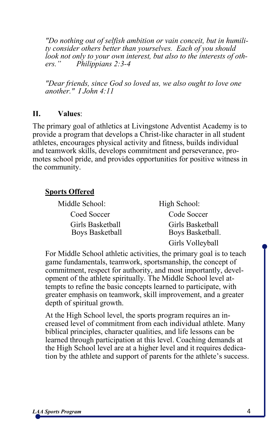*"Do nothing out of selfish ambition or vain conceit, but in humility consider others better than yourselves. Each of you should look not only to your own interest, but also to the interests of others.´Philippians 2:3-4* 

*"Dear friends, since God so loved us, we also ought to love one another." I John 4:11*

#### **II. Values**:

The primary goal of athletics at Livingstone Adventist Academy is to provide a program that develops a Christ-like character in all student athletes, encourages physical activity and fitness, builds individual and teamwork skills, develops commitment and perseverance, promotes school pride, and provides opportunities for positive witness in the community.

#### **Sports Offered**

Middle School: High School: Coed Soccer Code Soccer

Girls Basketball Girls Basketball Boys Basketball Boys Basketball. Girls Volleyball

For Middle School athletic activities, the primary goal is to teach game fundamentals, teamwork, sportsmanship, the concept of commitment, respect for authority, and most importantly, development of the athlete spiritually. The Middle School level attempts to refine the basic concepts learned to participate, with greater emphasis on teamwork, skill improvement, and a greater depth of spiritual growth.

At the High School level, the sports program requires an increased level of commitment from each individual athlete. Many biblical principles, character qualities, and life lessons can be learned through participation at this level. Coaching demands at the High School level are at a higher level and it requires dedication by the athlete and support of parents for the athlete's success.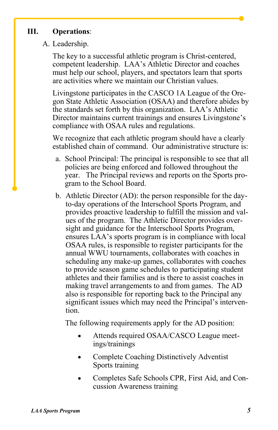#### **III. Operations**:

A. Leadership.

The key to a successful athletic program is Christ-centered, competent leadership. LAA's Athletic Director and coaches must help our school, players, and spectators learn that sports are activities where we maintain our Christian values.

Livingstone participates in the CASCO 1A League of the Oregon State Athletic Association (OSAA) and therefore abides by the standards set forth by this organization. LAA's Athletic Director maintains current trainings and ensures Livingstone's compliance with OSAA rules and regulations.

We recognize that each athletic program should have a clearly established chain of command. Our administrative structure is:

- a. School Principal: The principal is responsible to see that all policies are being enforced and followed throughout the year. The Principal reviews and reports on the Sports program to the School Board.
- b. Athletic Director (AD): the person responsible for the dayto-day operations of the Interschool Sports Program, and provides proactive leadership to fulfill the mission and values of the program. The Athletic Director provides oversight and guidance for the Interschool Sports Program, ensures LAA's sports program is in compliance with local OSAA rules, is responsible to register participants for the annual WWU tournaments, collaborates with coaches in scheduling any make-up games, collaborates with coaches to provide season game schedules to participating student athletes and their families and is there to assist coaches in making travel arrangements to and from games. The AD also is responsible for reporting back to the Principal any significant issues which may need the Principal's intervention.

The following requirements apply for the AD position:

- Attends required OSAA/CASCO League meetings/trainings
- Complete Coaching Distinctively Adventist Sports training
- Completes Safe Schools CPR, First Aid, and Concussion Awareness training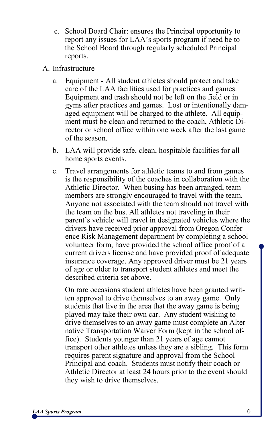- c. School Board Chair: ensures the Principal opportunity to report any issues for LAA's sports program if need be to the School Board through regularly scheduled Principal reports.
- A. Infrastructure
	- a. Equipment All student athletes should protect and take care of the LAA facilities used for practices and games. Equipment and trash should not be left on the field or in gyms after practices and games. Lost or intentionally damaged equipment will be charged to the athlete. All equipment must be clean and returned to the coach, Athletic Director or school office within one week after the last game of the season.
	- b. LAA will provide safe, clean, hospitable facilities for all home sports events.
	- c. Travel arrangements for athletic teams to and from games is the responsibility of the coaches in collaboration with the Athletic Director. When busing has been arranged, team members are strongly encouraged to travel with the team. Anyone not associated with the team should not travel with the team on the bus. All athletes not traveling in their parent's vehicle will travel in designated vehicles where the drivers have received prior approval from Oregon Conference Risk Management department by completing a school volunteer form, have provided the school office proof of a current drivers license and have provided proof of adequate insurance coverage. Any approved driver must be 21 years of age or older to transport student athletes and meet the described criteria set above.

On rare occasions student athletes have been granted written approval to drive themselves to an away game. Only students that live in the area that the away game is being played may take their own car. Any student wishing to drive themselves to an away game must complete an Alternative Transportation Waiver Form (kept in the school office). Students younger than 21 years of age cannot transport other athletes unless they are a sibling. This form requires parent signature and approval from the School Principal and coach. Students must notify their coach or Athletic Director at least 24 hours prior to the event should they wish to drive themselves.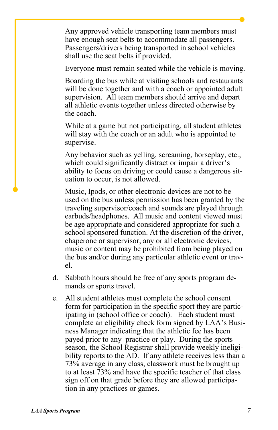Any approved vehicle transporting team members must have enough seat belts to accommodate all passengers. Passengers/drivers being transported in school vehicles shall use the seat belts if provided.

Everyone must remain seated while the vehicle is moving.

Boarding the bus while at visiting schools and restaurants will be done together and with a coach or appointed adult supervision. All team members should arrive and depart all athletic events together unless directed otherwise by the coach.

While at a game but not participating, all student athletes will stay with the coach or an adult who is appointed to supervise.

Any behavior such as yelling, screaming, horseplay, etc., which could significantly distract or impair a driver's ability to focus on driving or could cause a dangerous situation to occur, is not allowed.

Music, Ipods, or other electronic devices are not to be used on the bus unless permission has been granted by the traveling supervisor/coach and sounds are played through earbuds/headphones. All music and content viewed must be age appropriate and considered appropriate for such a school sponsored function. At the discretion of the driver, chaperone or supervisor, any or all electronic devices, music or content may be prohibited from being played on the bus and/or during any particular athletic event or travel.

- d. Sabbath hours should be free of any sports program demands or sports travel.
- e. All student athletes must complete the school consent form for participation in the specific sport they are participating in (school office or coach). Each student must complete an eligibility check form signed by LAA's Business Manager indicating that the athletic fee has been payed prior to any practice or play. During the sports season, the School Registrar shall provide weekly ineligibility reports to the AD. If any athlete receives less than a 73% average in any class, classwork must be brought up to at least 73% and have the specific teacher of that class sign off on that grade before they are allowed participation in any practices or games.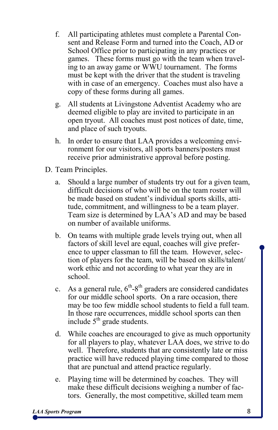- f. All participating athletes must complete a Parental Consent and Release Form and turned into the Coach, AD or School Office prior to participating in any practices or games. These forms must go with the team when traveling to an away game or WWU tournament. The forms must be kept with the driver that the student is traveling with in case of an emergency. Coaches must also have a copy of these forms during all games.
- g. All students at Livingstone Adventist Academy who are deemed eligible to play are invited to participate in an open tryout. All coaches must post notices of date, time, and place of such tryouts.
- h. In order to ensure that LAA provides a welcoming environment for our visitors, all sports banners/posters must receive prior administrative approval before posting.
- D. Team Principles.
	- a. Should a large number of students try out for a given team, difficult decisions of who will be on the team roster will be made based on student's individual sports skills, attitude, commitment, and willingness to be a team player. Team size is determined by LAA's AD and may be based on number of available uniforms.
	- b. On teams with multiple grade levels trying out, when all factors of skill level are equal, coaches will give preference to upper classman to fill the team. However, selection of players for the team, will be based on skills/talent/ work ethic and not according to what year they are in school.
	- c. As a general rule,  $6^{th} 8^{th}$  graders are considered candidates for our middle school sports. On a rare occasion, there may be too few middle school students to field a full team. In those rare occurrences, middle school sports can then include  $5<sup>th</sup>$  grade students.
	- d. While coaches are encouraged to give as much opportunity for all players to play, whatever LAA does, we strive to do well. Therefore, students that are consistently late or miss practice will have reduced playing time compared to those that are punctual and attend practice regularly.
	- e. Playing time will be determined by coaches. They will make these difficult decisions weighing a number of factors. Generally, the most competitive, skilled team mem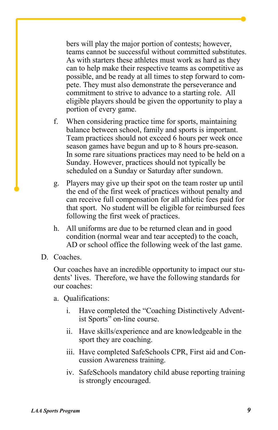bers will play the major portion of contests; however, teams cannot be successful without committed substitutes. As with starters these athletes must work as hard as they can to help make their respective teams as competitive as possible, and be ready at all times to step forward to compete. They must also demonstrate the perseverance and commitment to strive to advance to a starting role. All eligible players should be given the opportunity to play a portion of every game.

- f. When considering practice time for sports, maintaining balance between school, family and sports is important. Team practices should not exceed 6 hours per week once season games have begun and up to 8 hours pre-season. In some rare situations practices may need to be held on a Sunday. However, practices should not typically be scheduled on a Sunday or Saturday after sundown.
- g. Players may give up their spot on the team roster up until the end of the first week of practices without penalty and can receive full compensation for all athletic fees paid for that sport. No student will be eligible for reimbursed fees following the first week of practices.
- h. All uniforms are due to be returned clean and in good condition (normal wear and tear accepted) to the coach, AD or school office the following week of the last game.
- D. Coaches.

Our coaches have an incredible opportunity to impact our students' lives. Therefore, we have the following standards for our coaches:

- a. Qualifications:
	- i. Have completed the "Coaching Distinctively Adventist Sports'' on-line course.
	- ii. Have skills/experience and are knowledgeable in the sport they are coaching.
	- iii. Have completed SafeSchools CPR, First aid and Concussion Awareness training.
	- iv. SafeSchools mandatory child abuse reporting training is strongly encouraged.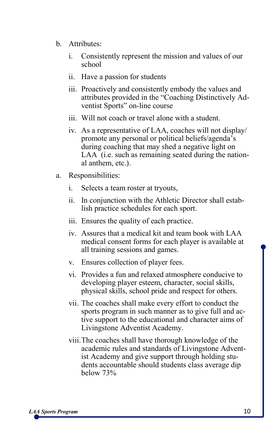- b. Attributes:
	- i. Consistently represent the mission and values of our school
	- ii. Have a passion for students
	- iii. Proactively and consistently embody the values and attributes provided in the "Coaching Distinctively Adventist Sports'' on-line course
	- iii. Will not coach or travel alone with a student.
	- iv. As a representative of LAA, coaches will not display/ promote any personal or political beliefs/agenda's during coaching that may shed a negative light on LAA (i.e. such as remaining seated during the national anthem, etc.).
- a. Responsibilities:
	- i. Selects a team roster at tryouts,
	- ii. In conjunction with the Athletic Director shall establish practice schedules for each sport.
	- iii. Ensures the quality of each practice.
	- iv. Assures that a medical kit and team book with LAA medical consent forms for each player is available at all training sessions and games.
	- v. Ensures collection of player fees.
	- vi. Provides a fun and relaxed atmosphere conducive to developing player esteem, character, social skills, physical skills, school pride and respect for others.
	- vii. The coaches shall make every effort to conduct the sports program in such manner as to give full and active support to the educational and character aims of Livingstone Adventist Academy.
	- viii.The coaches shall have thorough knowledge of the academic rules and standards of Livingstone Adventist Academy and give support through holding students accountable should students class average dip below 73%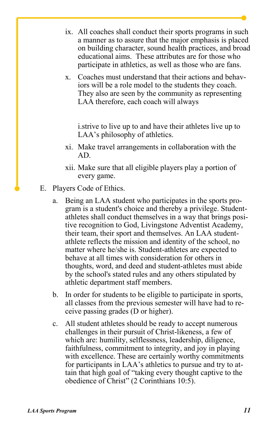- ix. All coaches shall conduct their sports programs in such a manner as to assure that the major emphasis is placed on building character, sound health practices, and broad educational aims. These attributes are for those who participate in athletics, as well as those who are fans.
- x. Coaches must understand that their actions and behaviors will be a role model to the students they coach. They also are seen by the community as representing LAA therefore, each coach will always

i.strive to live up to and have their athletes live up to LAA's philosophy of athletics.

- xi. Make travel arrangements in collaboration with the AD.
- xii. Make sure that all eligible players play a portion of every game.
- E. Players Code of Ethics.
	- a. Being an LAA student who participates in the sports program is a student's choice and thereby a privilege. Studentathletes shall conduct themselves in a way that brings positive recognition to God, Livingstone Adventist Academy, their team, their sport and themselves. An LAA studentathlete reflects the mission and identity of the school, no matter where he/she is. Student-athletes are expected to behave at all times with consideration for others in thoughts, word, and deed and student-athletes must abide by the school's stated rules and any others stipulated by athletic department staff members.
	- b. In order for students to be eligible to participate in sports, all classes from the previous semester will have had to receive passing grades (D or higher).
	- c. All student athletes should be ready to accept numerous challenges in their pursuit of Christ-likeness, a few of which are: humility, selflessness, leadership, diligence, faithfulness, commitment to integrity, and joy in playing with excellence. These are certainly worthy commitments for participants in LAA's athletics to pursue and try to attain that high goal of "taking every thought captive to the obedience of Christ" (2 Corinthians 10:5).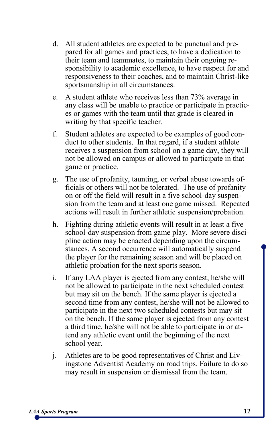- d. All student athletes are expected to be punctual and prepared for all games and practices, to have a dedication to their team and teammates, to maintain their ongoing responsibility to academic excellence, to have respect for and responsiveness to their coaches, and to maintain Christ-like sportsmanship in all circumstances.
- e. A student athlete who receives less than 73% average in any class will be unable to practice or participate in practices or games with the team until that grade is cleared in writing by that specific teacher.
- f. Student athletes are expected to be examples of good conduct to other students. In that regard, if a student athlete receives a suspension from school on a game day, they will not be allowed on campus or allowed to participate in that game or practice.
- g. The use of profanity, taunting, or verbal abuse towards officials or others will not be tolerated. The use of profanity on or off the field will result in a five school-day suspension from the team and at least one game missed. Repeated actions will result in further athletic suspension/probation.
- h. Fighting during athletic events will result in at least a five school-day suspension from game play. More severe discipline action may be enacted depending upon the circumstances. A second occurrence will automatically suspend the player for the remaining season and will be placed on athletic probation for the next sports season.
- i. If any LAA player is ejected from any contest, he/she will not be allowed to participate in the next scheduled contest but may sit on the bench. If the same player is ejected a second time from any contest, he/she will not be allowed to participate in the next two scheduled contests but may sit on the bench. If the same player is ejected from any contest a third time, he/she will not be able to participate in or attend any athletic event until the beginning of the next school year.
- j. Athletes are to be good representatives of Christ and Livingstone Adventist Academy on road trips. Failure to do so may result in suspension or dismissal from the team.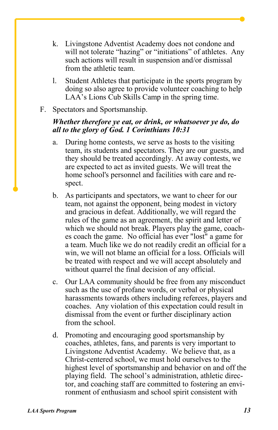- k. Livingstone Adventist Academy does not condone and will not tolerate "hazing" or "initiations" of athletes. Any such actions will result in suspension and/or dismissal from the athletic team.
- l. Student Athletes that participate in the sports program by doing so also agree to provide volunteer coaching to help LAA's Lions Cub Skills Camp in the spring time.
- F. Spectators and Sportsmanship.

#### *Whether therefore ye eat, or drink, or whatsoever ye do, do all to the glory of God. 1 Corinthians 10:31*

- a. During home contests, we serve as hosts to the visiting team, its students and spectators. They are our guests, and they should be treated accordingly. At away contests, we are expected to act as invited guests. We will treat the home school's personnel and facilities with care and respect.
- b. As participants and spectators, we want to cheer for our team, not against the opponent, being modest in victory and gracious in defeat. Additionally, we will regard the rules of the game as an agreement, the spirit and letter of which we should not break. Players play the game, coaches coach the game. No official has ever "lost" a game for a team. Much like we do not readily credit an official for a win, we will not blame an official for a loss. Officials will be treated with respect and we will accept absolutely and without quarrel the final decision of any official.
- c. Our LAA community should be free from any misconduct such as the use of profane words, or verbal or physical harassments towards others including referees, players and coaches. Any violation of this expectation could result in dismissal from the event or further disciplinary action from the school.
- d. Promoting and encouraging good sportsmanship by coaches, athletes, fans, and parents is very important to Livingstone Adventist Academy. We believe that, as a Christ-centered school, we must hold ourselves to the highest level of sportsmanship and behavior on and off the playing field. The school's administration, athletic director, and coaching staff are committed to fostering an environment of enthusiasm and school spirit consistent with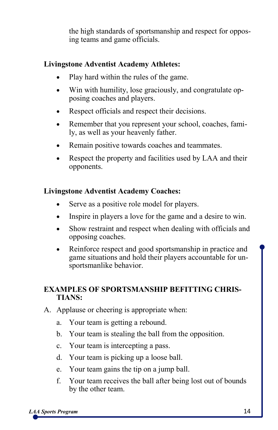the high standards of sportsmanship and respect for opposing teams and game officials.

#### **Livingstone Adventist Academy Athletes:**

- Play hard within the rules of the game.
- Win with humility, lose graciously, and congratulate opposing coaches and players.
- Respect officials and respect their decisions.
- Remember that you represent your school, coaches, family, as well as your heavenly father.
- Remain positive towards coaches and teammates.
- Respect the property and facilities used by LAA and their opponents.

#### **Livingstone Adventist Academy Coaches:**

- Serve as a positive role model for players.
- Inspire in players a love for the game and a desire to win.
- Show restraint and respect when dealing with officials and opposing coaches.
- Reinforce respect and good sportsmanship in practice and game situations and hold their players accountable for unsportsmanlike behavior.

#### **EXAMPLES OF SPORTSMANSHIP BEFITTING CHRIS-TIANS:**

- A. Applause or cheering is appropriate when:
	- a. Your team is getting a rebound.
	- b. Your team is stealing the ball from the opposition.
	- c. Your team is intercepting a pass.
	- d. Your team is picking up a loose ball.
	- e. Your team gains the tip on a jump ball.
	- f. Your team receives the ball after being lost out of bounds by the other team.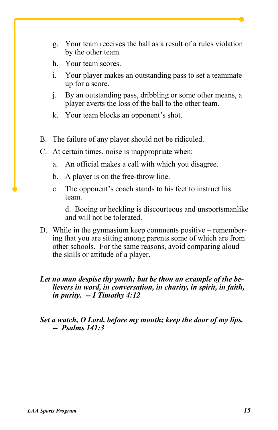- g. Your team receives the ball as a result of a rules violation by the other team.
- h. Your team scores.
- i. Your player makes an outstanding pass to set a teammate up for a score.
- j. By an outstanding pass, dribbling or some other means, a player averts the loss of the ball to the other team.
- k. Your team blocks an opponent's shot.
- B. The failure of any player should not be ridiculed.
- C. At certain times, noise is inappropriate when:
	- a. An official makes a call with which you disagree.
	- b. A player is on the free-throw line.
	- c. The opponent's coach stands to his feet to instruct his team.

d. Booing or heckling is discourteous and unsportsmanlike and will not be tolerated.

D. While in the gymnasium keep comments positive – remembering that you are sitting among parents some of which are from other schools. For the same reasons, avoid comparing aloud the skills or attitude of a player.

#### *Let no man despise thy youth; but be thou an example of the believers in word, in conversation, in charity, in spirit, in faith, in purity. -- I Timothy 4:12*

*Set a watch, O Lord, before my mouth; keep the door of my lips. -- Psalms 141:3*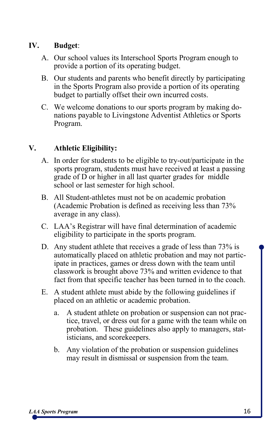#### **IV. Budget**:

- A. Our school values its Interschool Sports Program enough to provide a portion of its operating budget.
- B. Our students and parents who benefit directly by participating in the Sports Program also provide a portion of its operating budget to partially offset their own incurred costs.
- C. We welcome donations to our sports program by making donations payable to Livingstone Adventist Athletics or Sports Program.

#### **V. Athletic Eligibility:**

- A. In order for students to be eligible to try-out/participate in the sports program, students must have received at least a passing grade of D or higher in all last quarter grades for middle school or last semester for high school.
- B. All Student-athletes must not be on academic probation (Academic Probation is defined as receiving less than 73% average in any class).
- C. LAA's Registrar will have final determination of academic eligibility to participate in the sports program.
- D. Any student athlete that receives a grade of less than 73% is automatically placed on athletic probation and may not participate in practices, games or dress down with the team until classwork is brought above 73% and written evidence to that fact from that specific teacher has been turned in to the coach.
- E. A student athlete must abide by the following guidelines if placed on an athletic or academic probation.
	- a. A student athlete on probation or suspension can not practice, travel, or dress out for a game with the team while on probation. These guidelines also apply to managers, statisticians, and scorekeepers.
	- b. Any violation of the probation or suspension guidelines may result in dismissal or suspension from the team.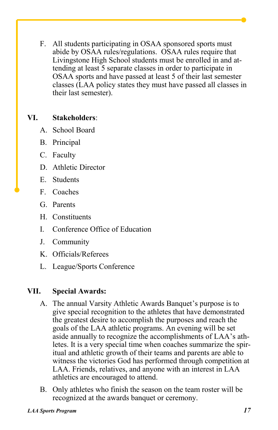F. All students participating in OSAA sponsored sports must abide by OSAA rules/regulations. OSAA rules require that Livingstone High School students must be enrolled in and attending at least 5 separate classes in order to participate in OSAA sports and have passed at least 5 of their last semester classes (LAA policy states they must have passed all classes in their last semester).

#### **VI. Stakeholders**:

- A. School Board
- B. Principal
- C. Faculty
- D. Athletic Director
- E. Students
- F. Coaches
- G. Parents
- H. Constituents
- I. Conference Office of Education
- J. Community
- K. Officials/Referees
- L. League/Sports Conference

#### **VII. Special Awards:**

- A. The annual Varsity Athletic Awards Banquet's purpose is to give special recognition to the athletes that have demonstrated the greatest desire to accomplish the purposes and reach the goals of the LAA athletic programs. An evening will be set aside annually to recognize the accomplishments of LAA's athletes. It is a very special time when coaches summarize the spiritual and athletic growth of their teams and parents are able to witness the victories God has performed through competition at LAA. Friends, relatives, and anyone with an interest in LAA athletics are encouraged to attend.
- B. Only athletes who finish the season on the team roster will be recognized at the awards banquet or ceremony.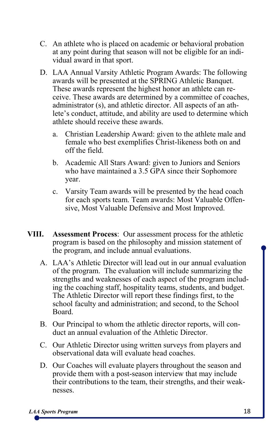- C. An athlete who is placed on academic or behavioral probation at any point during that season will not be eligible for an individual award in that sport.
- D. LAA Annual Varsity Athletic Program Awards: The following awards will be presented at the SPRING Athletic Banquet. These awards represent the highest honor an athlete can receive. These awards are determined by a committee of coaches, administrator (s), and athletic director. All aspects of an athlete's conduct, attitude, and ability are used to determine which athlete should receive these awards.
	- a. Christian Leadership Award: given to the athlete male and female who best exemplifies Christ-likeness both on and off the field.
	- b. Academic All Stars Award: given to Juniors and Seniors who have maintained a 3.5 GPA since their Sophomore year.
	- c. Varsity Team awards will be presented by the head coach for each sports team. Team awards: Most Valuable Offensive, Most Valuable Defensive and Most Improved.
- **VIII. Assessment Process**: Our assessment process for the athletic program is based on the philosophy and mission statement of the program, and include annual evaluations.
	- A. LAA's Athletic Director will lead out in our annual evaluation of the program. The evaluation will include summarizing the strengths and weaknesses of each aspect of the program including the coaching staff, hospitality teams, students, and budget. The Athletic Director will report these findings first, to the school faculty and administration; and second, to the School Board.
	- B. Our Principal to whom the athletic director reports, will conduct an annual evaluation of the Athletic Director.
	- C. Our Athletic Director using written surveys from players and observational data will evaluate head coaches.
	- D. Our Coaches will evaluate players throughout the season and provide them with a post-season interview that may include their contributions to the team, their strengths, and their weaknesses.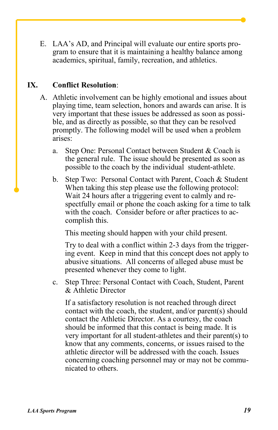E. LAA's AD, and Principal will evaluate our entire sports program to ensure that it is maintaining a healthy balance among academics, spiritual, family, recreation, and athletics.

#### **IX. Conflict Resolution**:

- A. Athletic involvement can be highly emotional and issues about playing time, team selection, honors and awards can arise. It is very important that these issues be addressed as soon as possible, and as directly as possible, so that they can be resolved promptly. The following model will be used when a problem arises:
	- a. Step One: Personal Contact between Student & Coach is the general rule. The issue should be presented as soon as possible to the coach by the individual student-athlete.
	- b. Step Two: Personal Contact with Parent, Coach & Student When taking this step please use the following protocol: Wait 24 hours after a triggering event to calmly and respectfully email or phone the coach asking for a time to talk with the coach. Consider before or after practices to accomplish this.

This meeting should happen with your child present.

Try to deal with a conflict within 2-3 days from the triggering event. Keep in mind that this concept does not apply to abusive situations. All concerns of alleged abuse must be presented whenever they come to light.

c. Step Three: Personal Contact with Coach, Student, Parent & Athletic Director

If a satisfactory resolution is not reached through direct contact with the coach, the student, and/or parent(s) should contact the Athletic Director. As a courtesy, the coach should be informed that this contact is being made. It is very important for all student-athletes and their parent(s) to know that any comments, concerns, or issues raised to the athletic director will be addressed with the coach. Issues concerning coaching personnel may or may not be communicated to others.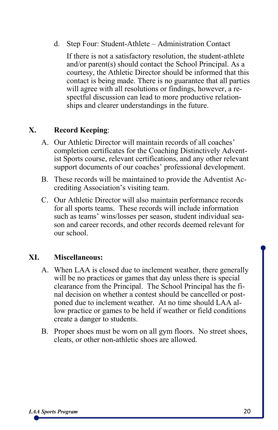d. Step Four: Student-Athlete – Administration Contact

If there is not a satisfactory resolution, the student-athlete and/or parent(s) should contact the School Principal. As a courtesy, the Athletic Director should be informed that this contact is being made. There is no guarantee that all parties will agree with all resolutions or findings, however, a respectful discussion can lead to more productive relationships and clearer understandings in the future.

#### **X. Record Keeping**:

- A. Our Athletic Director will maintain records of all coaches' completion certificates for the Coaching Distinctively Adventist Sports course, relevant certifications, and any other relevant support documents of our coaches' professional development.
- B. These records will be maintained to provide the Adventist Accrediting Association's visiting team.
- C. Our Athletic Director will also maintain performance records for all sports teams. These records will include information such as teams' wins/losses per season, student individual season and career records, and other records deemed relevant for our school.

#### **XI. Miscellaneous:**

- A. When LAA is closed due to inclement weather, there generally will be no practices or games that day unless there is special clearance from the Principal. The School Principal has the final decision on whether a contest should be cancelled or postponed due to inclement weather. At no time should LAA allow practice or games to be held if weather or field conditions create a danger to students.
- B. Proper shoes must be worn on all gym floors. No street shoes, cleats, or other non-athletic shoes are allowed.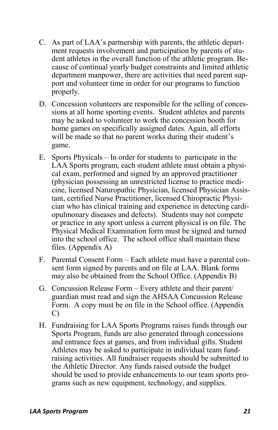- C. As part of LAA's partnership with parents, the athletic department requests involvement and participation by parents of student athletes in the overall function of the athletic program. Because of continual yearly budget constraints and limited athletic department manpower, there are activities that need parent support and volunteer time in order for our programs to function properly.
- D. Concession volunteers are responsible for the selling of concessions at all home sporting events. Student athletes and parents may be asked to volunteer to work the concession booth for home games on specifically assigned dates. Again, all efforts will be made so that no parent works during their student's game.
- E. Sports Physicals In order for students to participate in the LAA Sports program, each student athlete must obtain a physical exam, performed and signed by an approved practitioner (physician possessing an unrestricted license to practice medicine, licensed Naturopathic Physician, licensed Physician Assistant, certified Nurse Practitioner, licensed Chiropractic Physician who has clinical training and experience in detecting cardiopulmonary diseases and defects). Students may not compete or practice in any sport unless a current physical is on file. The Physical Medical Examination form must be signed and turned into the school office. The school office shall maintain these files. (Appendix A)
- F. Parental Consent Form Each athlete must have a parental consent form signed by parents and on file at LAA. Blank forms may also be obtained from the School Office. (Appendix B)
- G. Concussion Release Form Every athlete and their parent/ guardian must read and sign the AHSAA Concussion Release Form. A copy must be on file in the School office. (Appendix C)
- H. Fundraising for LAA Sports Programs raises funds through our Sports Program, funds are also generated through concessions and entrance fees at games, and from individual gifts. Student Athletes may be asked to participate in individual team fundraising activities. All fundraiser requests should be submitted to the Athletic Director. Any funds raised outside the budget should be used to provide enhancements to our team sports programs such as new equipment, technology, and supplies.